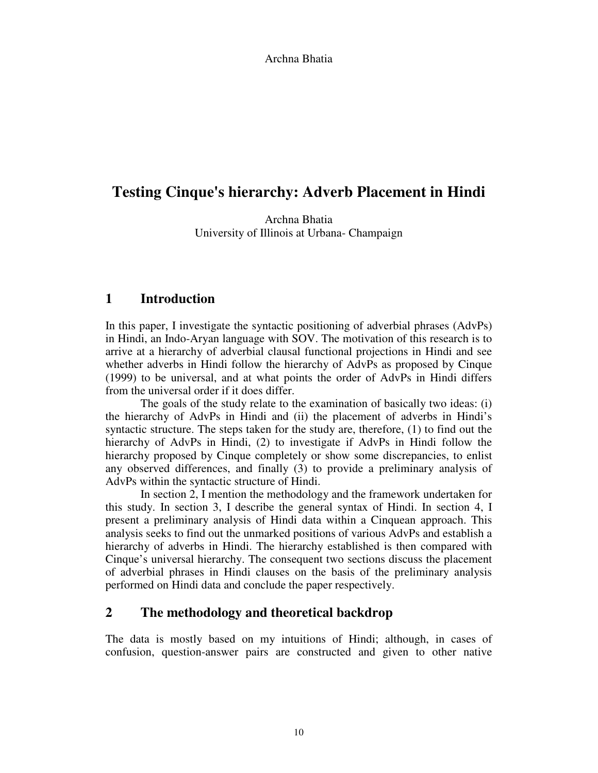# **Testing Cinque's hierarchy: Adverb Placement in Hindi**

Archna Bhatia University of Illinois at Urbana- Champaign

# **1 Introduction**

In this paper, I investigate the syntactic positioning of adverbial phrases (AdvPs) in Hindi, an Indo-Aryan language with SOV. The motivation of this research is to arrive at a hierarchy of adverbial clausal functional projections in Hindi and see whether adverbs in Hindi follow the hierarchy of AdvPs as proposed by Cinque (1999) to be universal, and at what points the order of AdvPs in Hindi differs from the universal order if it does differ.

The goals of the study relate to the examination of basically two ideas: (i) the hierarchy of AdvPs in Hindi and (ii) the placement of adverbs in Hindi's syntactic structure. The steps taken for the study are, therefore, (1) to find out the hierarchy of AdvPs in Hindi, (2) to investigate if AdvPs in Hindi follow the hierarchy proposed by Cinque completely or show some discrepancies, to enlist any observed differences, and finally (3) to provide a preliminary analysis of AdvPs within the syntactic structure of Hindi.

In section 2, I mention the methodology and the framework undertaken for this study. In section 3, I describe the general syntax of Hindi. In section 4, I present a preliminary analysis of Hindi data within a Cinquean approach. This analysis seeks to find out the unmarked positions of various AdvPs and establish a hierarchy of adverbs in Hindi. The hierarchy established is then compared with Cinque's universal hierarchy. The consequent two sections discuss the placement of adverbial phrases in Hindi clauses on the basis of the preliminary analysis performed on Hindi data and conclude the paper respectively.

# **2 The methodology and theoretical backdrop**

The data is mostly based on my intuitions of Hindi; although, in cases of confusion, question-answer pairs are constructed and given to other native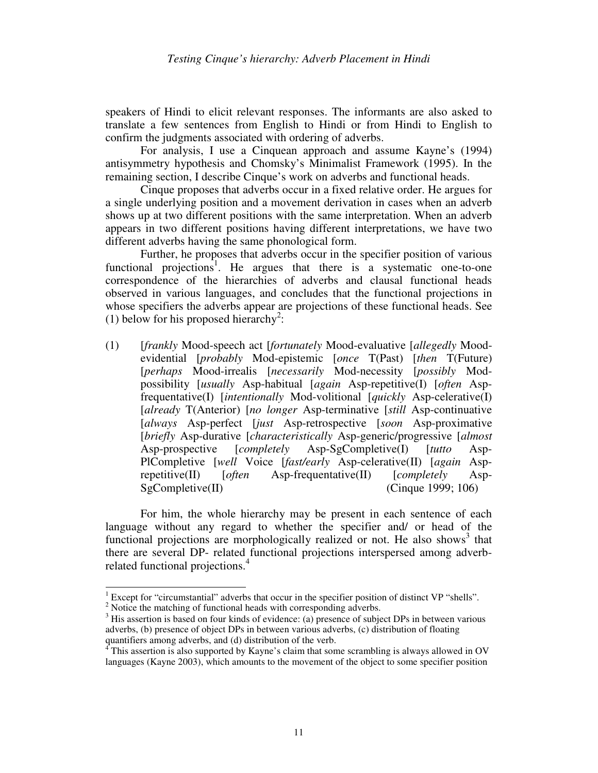speakers of Hindi to elicit relevant responses. The informants are also asked to translate a few sentences from English to Hindi or from Hindi to English to confirm the judgments associated with ordering of adverbs.

For analysis, I use a Cinquean approach and assume Kayne's (1994) antisymmetry hypothesis and Chomsky's Minimalist Framework (1995). In the remaining section, I describe Cinque's work on adverbs and functional heads.

Cinque proposes that adverbs occur in a fixed relative order. He argues for a single underlying position and a movement derivation in cases when an adverb shows up at two different positions with the same interpretation. When an adverb appears in two different positions having different interpretations, we have two different adverbs having the same phonological form.

Further, he proposes that adverbs occur in the specifier position of various functional projections<sup>1</sup>. He argues that there is a systematic one-to-one correspondence of the hierarchies of adverbs and clausal functional heads observed in various languages, and concludes that the functional projections in whose specifiers the adverbs appear are projections of these functional heads. See (1) below for his proposed hierarchy<sup>2</sup>:

(1) [*frankly* Mood-speech act [*fortunately* Mood-evaluative [*allegedly* Moodevidential [*probably* Mod-epistemic [*once* T(Past) [*then* T(Future) [*perhaps* Mood-irrealis [*necessarily* Mod-necessity [*possibly* Modpossibility [*usually* Asp-habitual [*again* Asp-repetitive(I) [*often* Aspfrequentative(I) [*intentionally* Mod-volitional [*quickly* Asp-celerative(I) [*already* T(Anterior) [*no longer* Asp-terminative [*still* Asp-continuative [*always* Asp-perfect [*just* Asp-retrospective [*soon* Asp-proximative [*briefly* Asp-durative [*characteristically* Asp-generic/progressive [*almost* Asp-prospective [*completely* Asp-SgCompletive(I) [*tutto* Asp-PlCompletive [*well* Voice [*fast/early* Asp-celerative(II) [*again* Asprepetitive(II) [*often* Asp-frequentative(II) [*completely* Asp-SgCompletive(II) (Cinque 1999; 106)

For him, the whole hierarchy may be present in each sentence of each language without any regard to whether the specifier and/ or head of the functional projections are morphologically realized or not. He also shows $3$  that there are several DP- related functional projections interspersed among adverbrelated functional projections.<sup>4</sup>

 1 Except for "circumstantial" adverbs that occur in the specifier position of distinct VP "shells". <sup>2</sup> Notice the matching of functional heads with corresponding adverbs.

 $3$  His assertion is based on four kinds of evidence: (a) presence of subject DPs in between various adverbs, (b) presence of object DPs in between various adverbs, (c) distribution of floating quantifiers among adverbs, and (d) distribution of the verb.

<sup>4</sup> This assertion is also supported by Kayne's claim that some scrambling is always allowed in OV languages (Kayne 2003), which amounts to the movement of the object to some specifier position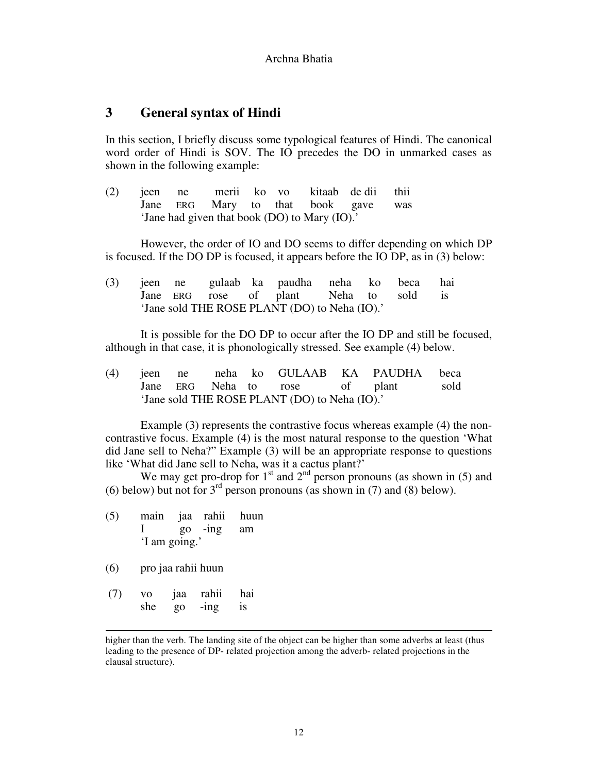### **3 General syntax of Hindi**

In this section, I briefly discuss some typological features of Hindi. The canonical word order of Hindi is SOV. The IO precedes the DO in unmarked cases as shown in the following example:

(2) jeen ne merii ko vo kitaab de dii thii Jane ERG Mary to that book gave was 'Jane had given that book (DO) to Mary (IO).'

However, the order of IO and DO seems to differ depending on which DP is focused. If the DO DP is focused, it appears before the IO DP, as in (3) below:

|                                               |  |  |  | (3) jeen ne gulaab ka paudha neha ko beca hai |  |  |  |
|-----------------------------------------------|--|--|--|-----------------------------------------------|--|--|--|
|                                               |  |  |  | Jane ERG rose of plant Neha to sold is        |  |  |  |
| 'Jane sold THE ROSE PLANT (DO) to Neha (IO).' |  |  |  |                                               |  |  |  |

 It is possible for the DO DP to occur after the IO DP and still be focused, although in that case, it is phonologically stressed. See example (4) below.

(4) jeen ne neha ko GULAAB KA PAUDHA beca Jane ERG Neha to rose of plant sold 'Jane sold THE ROSE PLANT (DO) to Neha (IO).'

 Example (3) represents the contrastive focus whereas example (4) the noncontrastive focus. Example (4) is the most natural response to the question 'What did Jane sell to Neha?" Example (3) will be an appropriate response to questions like 'What did Jane sell to Neha, was it a cactus plant?'

We may get pro-drop for  $1<sup>st</sup>$  and  $2<sup>nd</sup>$  person pronouns (as shown in (5) and (6) below) but not for  $3<sup>rd</sup>$  person pronouns (as shown in (7) and (8) below).

- (5) main jaa rahii huun I go -ing am 'I am going.'
- (6) pro jaa rahii huun

-

 (7) vo jaa rahii hai she go -ing is

higher than the verb. The landing site of the object can be higher than some adverbs at least (thus leading to the presence of DP- related projection among the adverb- related projections in the clausal structure).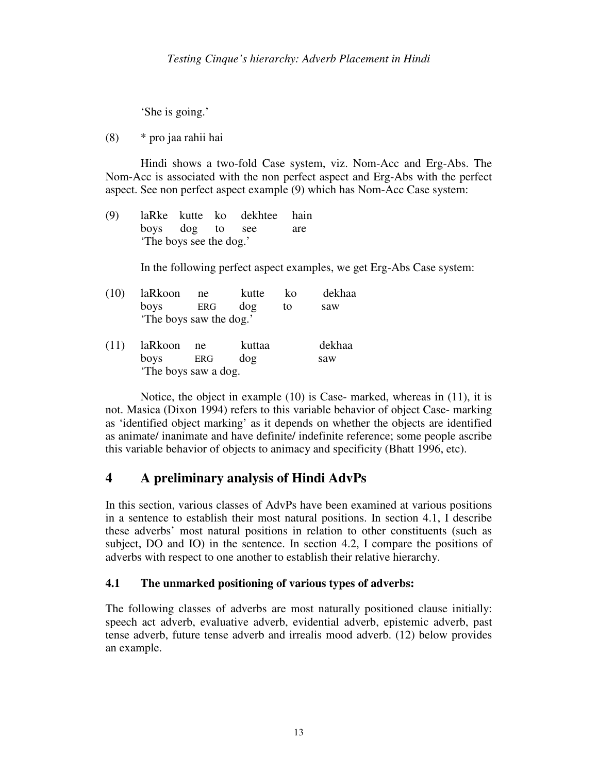'She is going.'

(8) \* pro jaa rahii hai

 Hindi shows a two-fold Case system, viz. Nom-Acc and Erg-Abs. The Nom-Acc is associated with the non perfect aspect and Erg-Abs with the perfect aspect. See non perfect aspect example (9) which has Nom-Acc Case system:

(9) laRke kutte ko dekhtee hain boys dog to see are 'The boys see the dog.'

In the following perfect aspect examples, we get Erg-Abs Case system:

| (10) | laRkoon                 | ne  | kutte  | ko | dekhaa |  |  |
|------|-------------------------|-----|--------|----|--------|--|--|
|      | boys                    | ERG | dog    | to | saw    |  |  |
|      | 'The boys saw the dog.' |     |        |    |        |  |  |
| (11) | laRkoon                 | ne  | kuttaa |    | dekhaa |  |  |
|      | boys                    | ERG | dog    |    | saw    |  |  |
|      | The boys saw a dog.     |     |        |    |        |  |  |

 Notice, the object in example (10) is Case- marked, whereas in (11), it is not. Masica (Dixon 1994) refers to this variable behavior of object Case- marking as 'identified object marking' as it depends on whether the objects are identified as animate/ inanimate and have definite/ indefinite reference; some people ascribe this variable behavior of objects to animacy and specificity (Bhatt 1996, etc).

# **4 A preliminary analysis of Hindi AdvPs**

In this section, various classes of AdvPs have been examined at various positions in a sentence to establish their most natural positions. In section 4.1, I describe these adverbs' most natural positions in relation to other constituents (such as subject, DO and IO) in the sentence. In section 4.2, I compare the positions of adverbs with respect to one another to establish their relative hierarchy.

# **4.1 The unmarked positioning of various types of adverbs:**

The following classes of adverbs are most naturally positioned clause initially: speech act adverb, evaluative adverb, evidential adverb, epistemic adverb, past tense adverb, future tense adverb and irrealis mood adverb. (12) below provides an example.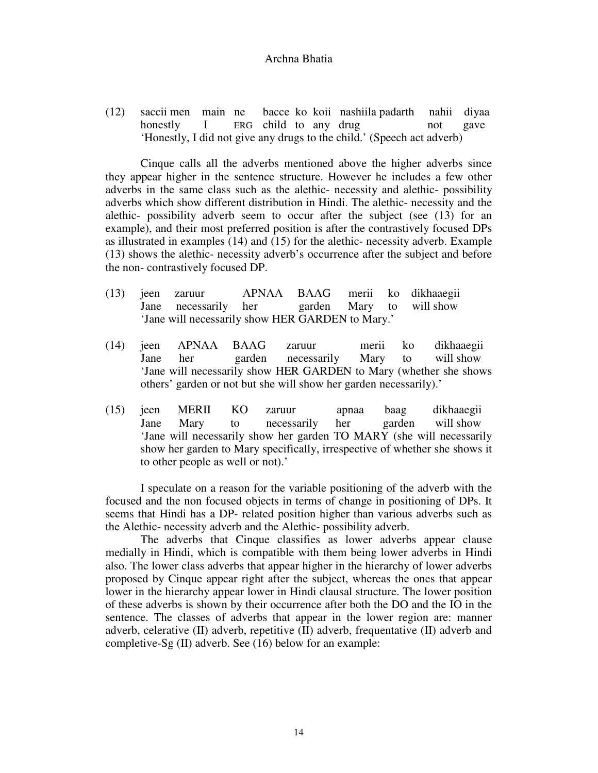(12) saccii men main ne bacce ko koii nashiila padarth nahii diyaa honestly I ERG child to any drug not gave 'Honestly, I did not give any drugs to the child.' (Speech act adverb)

Cinque calls all the adverbs mentioned above the higher adverbs since they appear higher in the sentence structure. However he includes a few other adverbs in the same class such as the alethic- necessity and alethic- possibility adverbs which show different distribution in Hindi. The alethic- necessity and the alethic- possibility adverb seem to occur after the subject (see (13) for an example), and their most preferred position is after the contrastively focused DPs as illustrated in examples (14) and (15) for the alethic- necessity adverb. Example (13) shows the alethic- necessity adverb's occurrence after the subject and before the non- contrastively focused DP.

- (13) jeen zaruur APNAA BAAG merii ko dikhaaegii Jane necessarily her garden Mary to will show 'Jane will necessarily show HER GARDEN to Mary.'
- (14) jeen APNAA BAAG zaruur merii ko dikhaaegii Jane her garden necessarily Mary to will show 'Jane will necessarily show HER GARDEN to Mary (whether she shows others' garden or not but she will show her garden necessarily).'
- (15) jeen MERII KO zaruur apnaa baag dikhaaegii Jane Mary to necessarily her garden will show 'Jane will necessarily show her garden TO MARY (she will necessarily show her garden to Mary specifically, irrespective of whether she shows it to other people as well or not).'

I speculate on a reason for the variable positioning of the adverb with the focused and the non focused objects in terms of change in positioning of DPs. It seems that Hindi has a DP- related position higher than various adverbs such as the Alethic- necessity adverb and the Alethic- possibility adverb.

The adverbs that Cinque classifies as lower adverbs appear clause medially in Hindi, which is compatible with them being lower adverbs in Hindi also. The lower class adverbs that appear higher in the hierarchy of lower adverbs proposed by Cinque appear right after the subject, whereas the ones that appear lower in the hierarchy appear lower in Hindi clausal structure. The lower position of these adverbs is shown by their occurrence after both the DO and the IO in the sentence. The classes of adverbs that appear in the lower region are: manner adverb, celerative (II) adverb, repetitive (II) adverb, frequentative (II) adverb and completive-Sg (II) adverb. See (16) below for an example: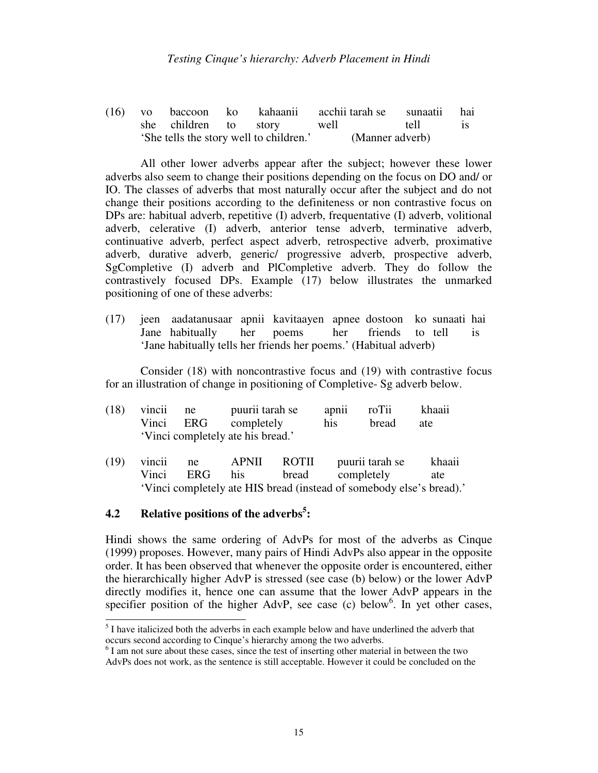(16) vo baccoon ko kahaanii acchii tarah se sunaatii hai she children to story well tell is 'She tells the story well to children.' (Manner adverb)

All other lower adverbs appear after the subject; however these lower adverbs also seem to change their positions depending on the focus on DO and/ or IO. The classes of adverbs that most naturally occur after the subject and do not change their positions according to the definiteness or non contrastive focus on DPs are: habitual adverb, repetitive (I) adverb, frequentative (I) adverb, volitional adverb, celerative (I) adverb, anterior tense adverb, terminative adverb, continuative adverb, perfect aspect adverb, retrospective adverb, proximative adverb, durative adverb, generic/ progressive adverb, prospective adverb, SgCompletive (I) adverb and PlCompletive adverb. They do follow the contrastively focused DPs. Example (17) below illustrates the unmarked positioning of one of these adverbs:

(17) jeen aadatanusaar apnii kavitaayen apnee dostoon ko sunaati hai Jane habitually her poems her friends to tell is 'Jane habitually tells her friends her poems.' (Habitual adverb)

Consider (18) with noncontrastive focus and (19) with contrastive focus for an illustration of change in positioning of Completive- Sg adverb below.

| $(18)$ vincii ne                  |  | puurii tarah se      | apnii roTii |       | khaaii |
|-----------------------------------|--|----------------------|-------------|-------|--------|
|                                   |  | Vinci ERG completely | his         | bread | ate    |
| 'Vinci completely ate his bread.' |  |                      |             |       |        |

(19) vincii ne APNII ROTII puurii tarah se khaaii Vinci ERG his bread completely ate 'Vinci completely ate HIS bread (instead of somebody else's bread).'

# **4.2 Relative positions of the adverbs<sup>5</sup> :**

Hindi shows the same ordering of AdvPs for most of the adverbs as Cinque (1999) proposes. However, many pairs of Hindi AdvPs also appear in the opposite order. It has been observed that whenever the opposite order is encountered, either the hierarchically higher AdvP is stressed (see case (b) below) or the lower AdvP directly modifies it, hence one can assume that the lower AdvP appears in the specifier position of the higher AdvP, see case (c) below<sup>6</sup>. In yet other cases,

<sup>&</sup>lt;sup>5</sup> I have italicized both the adverbs in each example below and have underlined the adverb that occurs second according to Cinque's hierarchy among the two adverbs.

<sup>&</sup>lt;sup>6</sup> I am not sure about these cases, since the test of inserting other material in between the two AdvPs does not work, as the sentence is still acceptable. However it could be concluded on the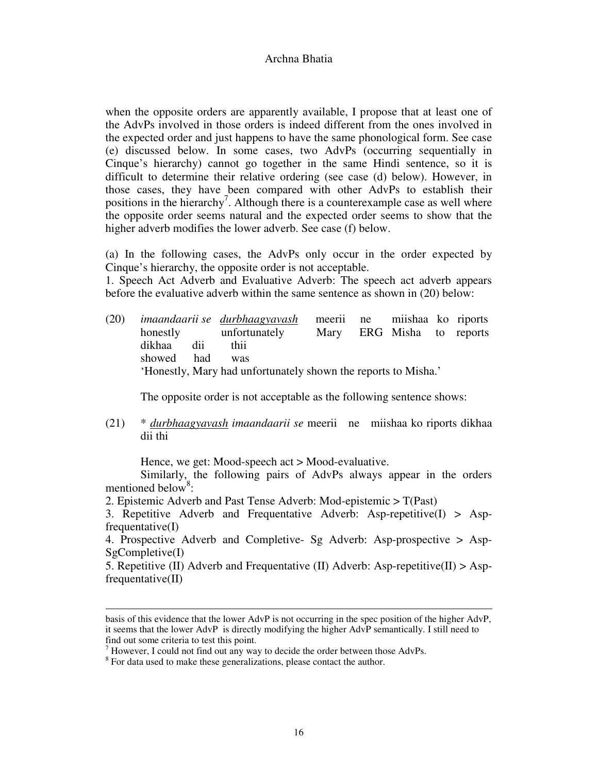when the opposite orders are apparently available, I propose that at least one of the AdvPs involved in those orders is indeed different from the ones involved in the expected order and just happens to have the same phonological form. See case (e) discussed below. In some cases, two AdvPs (occurring sequentially in Cinque's hierarchy) cannot go together in the same Hindi sentence, so it is difficult to determine their relative ordering (see case (d) below). However, in those cases, they have been compared with other AdvPs to establish their positions in the hierarchy<sup>7</sup>. Although there is a counterexample case as well where the opposite order seems natural and the expected order seems to show that the higher adverb modifies the lower adverb. See case (f) below.

(a) In the following cases, the AdvPs only occur in the order expected by Cinque's hierarchy, the opposite order is not acceptable.

1. Speech Act Adverb and Evaluative Adverb: The speech act adverb appears before the evaluative adverb within the same sentence as shown in (20) below:

(20) *imaandaarii se durbhaagyavash* meerii ne miishaa ko riports honestly unfortunately Mary ERG Misha to reports dikhaa dii thii showed had was 'Honestly, Mary had unfortunately shown the reports to Misha.'

The opposite order is not acceptable as the following sentence shows:

(21) \* *durbhaagyavash imaandaarii se* meerii ne miishaa ko riports dikhaa dii thi

Hence, we get: Mood-speech act > Mood-evaluative.

Similarly, the following pairs of AdvPs always appear in the orders mentioned below<sup>8</sup>:

2. Epistemic Adverb and Past Tense Adverb: Mod-epistemic > T(Past)

3. Repetitive Adverb and Frequentative Adverb: Asp-repetitive(I) > Aspfrequentative(I)

4. Prospective Adverb and Completive- Sg Adverb: Asp-prospective > Asp-SgCompletive(I)

5. Repetitive (II) Adverb and Frequentative (II) Adverb: Asp-repetitive (II)  $>$  Aspfrequentative(II)

-

basis of this evidence that the lower AdvP is not occurring in the spec position of the higher AdvP, it seems that the lower AdvP is directly modifying the higher AdvP semantically. I still need to find out some criteria to test this point.

 $<sup>7</sup>$  However, I could not find out any way to decide the order between those AdvPs.</sup>

 $8\,$  For data used to make these generalizations, please contact the author.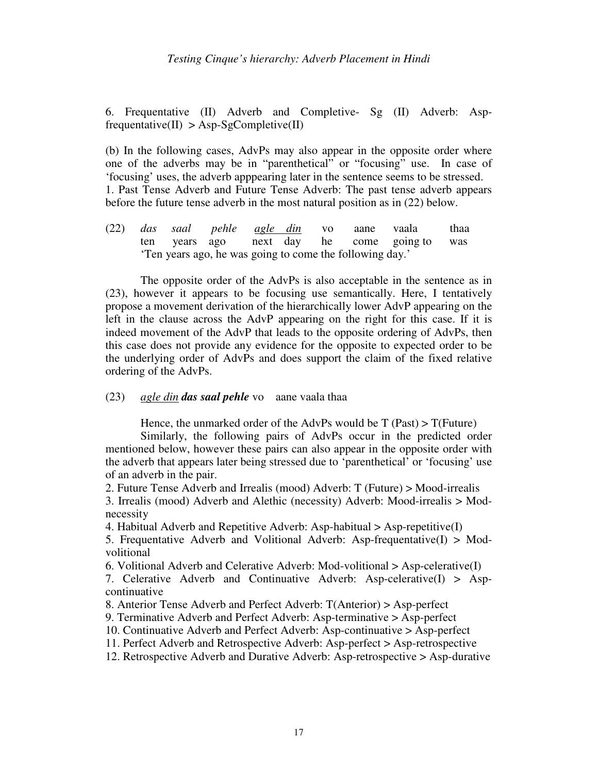6. Frequentative (II) Adverb and Completive- Sg (II) Adverb: Asp $frequency(\text{II}) > \text{Asp-SgComplete}(\text{II})$ 

(b) In the following cases, AdvPs may also appear in the opposite order where one of the adverbs may be in "parenthetical" or "focusing" use. In case of 'focusing' uses, the adverb apppearing later in the sentence seems to be stressed. 1. Past Tense Adverb and Future Tense Adverb: The past tense adverb appears before the future tense adverb in the most natural position as in (22) below.

(22) *das saal pehle agle din* vo aane vaala thaa ten years ago next day he come going to was 'Ten years ago, he was going to come the following day.'

The opposite order of the AdvPs is also acceptable in the sentence as in (23), however it appears to be focusing use semantically. Here, I tentatively propose a movement derivation of the hierarchically lower AdvP appearing on the left in the clause across the AdvP appearing on the right for this case. If it is indeed movement of the AdvP that leads to the opposite ordering of AdvPs, then this case does not provide any evidence for the opposite to expected order to be the underlying order of AdvPs and does support the claim of the fixed relative ordering of the AdvPs.

#### (23) *agle din das saal pehle* vo aane vaala thaa

Hence, the unmarked order of the AdvPs would be  $T$  (Past) >  $T$ (Future)

Similarly, the following pairs of AdvPs occur in the predicted order mentioned below, however these pairs can also appear in the opposite order with the adverb that appears later being stressed due to 'parenthetical' or 'focusing' use of an adverb in the pair.

2. Future Tense Adverb and Irrealis (mood) Adverb: T (Future) > Mood-irrealis 3. Irrealis (mood) Adverb and Alethic (necessity) Adverb: Mood-irrealis > Modnecessity

4. Habitual Adverb and Repetitive Adverb: Asp-habitual > Asp-repetitive(I)

5. Frequentative Adverb and Volitional Adverb: Asp-frequentative $(I) > Mod$ volitional

6. Volitional Adverb and Celerative Adverb: Mod-volitional  $>$  Asp-celerative(I)

7. Celerative Adverb and Continuative Adverb: Asp-celerative(I) > Aspcontinuative

8. Anterior Tense Adverb and Perfect Adverb: T(Anterior) > Asp-perfect

9. Terminative Adverb and Perfect Adverb: Asp-terminative > Asp-perfect

10. Continuative Adverb and Perfect Adverb: Asp-continuative > Asp-perfect

11. Perfect Adverb and Retrospective Adverb: Asp-perfect > Asp-retrospective

12. Retrospective Adverb and Durative Adverb: Asp-retrospective > Asp-durative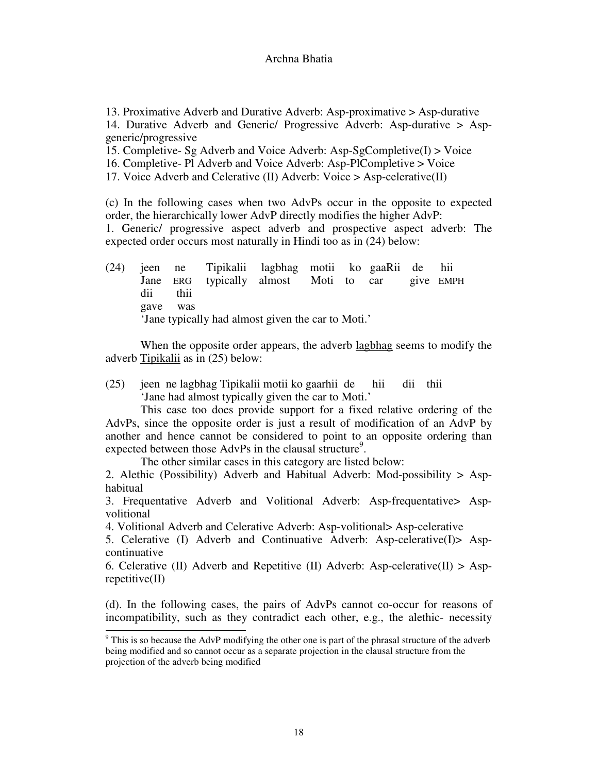13. Proximative Adverb and Durative Adverb: Asp-proximative > Asp-durative 14. Durative Adverb and Generic/ Progressive Adverb: Asp-durative > Aspgeneric/progressive

15. Completive- Sg Adverb and Voice Adverb: Asp-SgCompletive $(I)$  > Voice

16. Completive- Pl Adverb and Voice Adverb: Asp-PlCompletive > Voice

17. Voice Adverb and Celerative (II) Adverb: Voice > Asp-celerative(II)

(c) In the following cases when two AdvPs occur in the opposite to expected order, the hierarchically lower AdvP directly modifies the higher AdvP: 1. Generic/ progressive aspect adverb and prospective aspect adverb: The expected order occurs most naturally in Hindi too as in (24) below:

(24) jeen ne Tipikalii lagbhag motii ko gaaRii de hii Jane ERG typically almost Moti to car give EMPH dii thii gave was 'Jane typically had almost given the car to Moti.'

When the opposite order appears, the adverb lagbhag seems to modify the adverb Tipikalii as in (25) below:

(25) jeen ne lagbhag Tipikalii motii ko gaarhii de hii dii thii 'Jane had almost typically given the car to Moti.'

This case too does provide support for a fixed relative ordering of the AdvPs, since the opposite order is just a result of modification of an AdvP by another and hence cannot be considered to point to an opposite ordering than expected between those  $AdvPs$  in the clausal structure<sup>9</sup>.

The other similar cases in this category are listed below:

2. Alethic (Possibility) Adverb and Habitual Adverb: Mod-possibility > Asphabitual

3. Frequentative Adverb and Volitional Adverb: Asp-frequentative> Aspvolitional

4. Volitional Adverb and Celerative Adverb: Asp-volitional> Asp-celerative

5. Celerative (I) Adverb and Continuative Adverb: Asp-celerative(I)> Aspcontinuative

6. Celerative (II) Adverb and Repetitive (II) Adverb: Asp-celerative (II)  $>$  Asprepetitive(II)

(d). In the following cases, the pairs of AdvPs cannot co-occur for reasons of incompatibility, such as they contradict each other, e.g., the alethic- necessity

<sup>&</sup>lt;sup>9</sup> This is so because the AdvP modifying the other one is part of the phrasal structure of the adverb being modified and so cannot occur as a separate projection in the clausal structure from the projection of the adverb being modified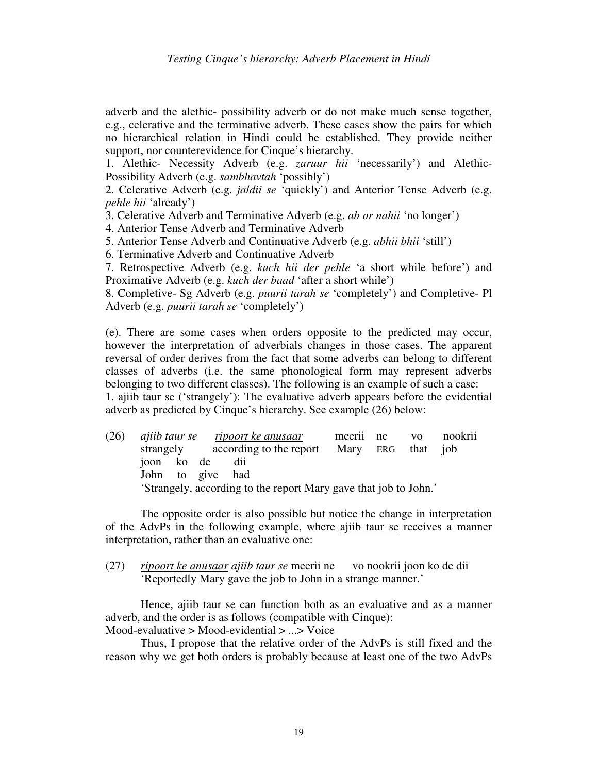adverb and the alethic- possibility adverb or do not make much sense together, e.g., celerative and the terminative adverb. These cases show the pairs for which no hierarchical relation in Hindi could be established. They provide neither support, nor counterevidence for Cinque's hierarchy.

1. Alethic- Necessity Adverb (e.g. *zaruur hii* 'necessarily') and Alethic-Possibility Adverb (e.g. *sambhavtah* 'possibly')

2. Celerative Adverb (e.g. *jaldii se* 'quickly') and Anterior Tense Adverb (e.g. *pehle hii* 'already')

3. Celerative Adverb and Terminative Adverb (e.g. *ab or nahii* 'no longer')

4. Anterior Tense Adverb and Terminative Adverb

5. Anterior Tense Adverb and Continuative Adverb (e.g. *abhii bhii* 'still')

6. Terminative Adverb and Continuative Adverb

7. Retrospective Adverb (e.g. *kuch hii der pehle* 'a short while before') and Proximative Adverb (e.g. *kuch der baad* 'after a short while')

8. Completive- Sg Adverb (e.g. *puurii tarah se* 'completely') and Completive- Pl Adverb (e.g. *puurii tarah se* 'completely')

(e). There are some cases when orders opposite to the predicted may occur, however the interpretation of adverbials changes in those cases. The apparent reversal of order derives from the fact that some adverbs can belong to different classes of adverbs (i.e. the same phonological form may represent adverbs belonging to two different classes). The following is an example of such a case: 1. ajiib taur se ('strangely'): The evaluative adverb appears before the evidential adverb as predicted by Cinque's hierarchy. See example (26) below:

(26) *ajiib taur se ripoort ke anusaar* meerii ne vo nookrii strangely according to the report Mary ERG that job joon ko de dii John to give had 'Strangely, according to the report Mary gave that job to John.'

The opposite order is also possible but notice the change in interpretation of the AdvPs in the following example, where ajiib taur se receives a manner interpretation, rather than an evaluative one:

(27) *ripoort ke anusaar ajiib taur se* meerii ne vo nookrii joon ko de dii 'Reportedly Mary gave the job to John in a strange manner.'

 Hence, ajiib taur se can function both as an evaluative and as a manner adverb, and the order is as follows (compatible with Cinque): Mood-evaluative > Mood-evidential > ...> Voice

Thus, I propose that the relative order of the AdvPs is still fixed and the reason why we get both orders is probably because at least one of the two AdvPs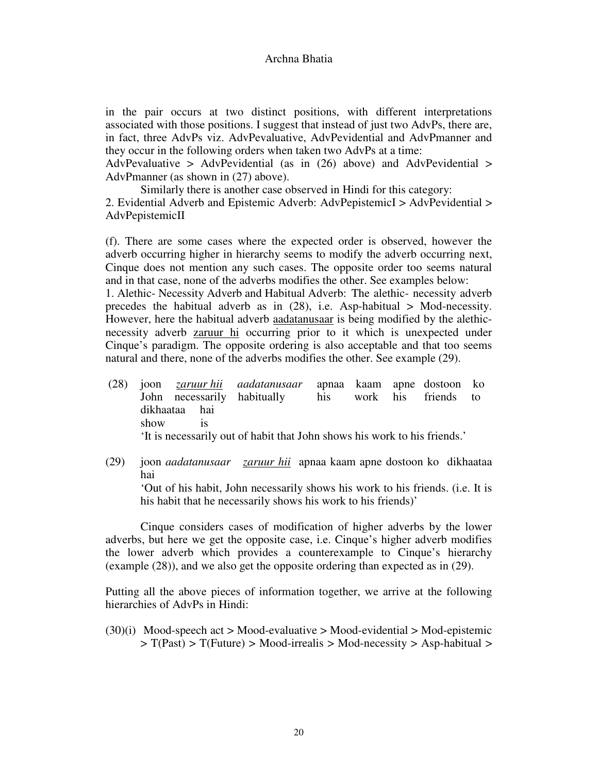in the pair occurs at two distinct positions, with different interpretations associated with those positions. I suggest that instead of just two AdvPs, there are, in fact, three AdvPs viz. AdvPevaluative, AdvPevidential and AdvPmanner and they occur in the following orders when taken two AdvPs at a time:

AdvPevaluative > AdvPevidential (as in  $(26)$  above) and AdvPevidential > AdvPmanner (as shown in (27) above).

Similarly there is another case observed in Hindi for this category: 2. Evidential Adverb and Epistemic Adverb: AdvPepistemicI > AdvPevidential > AdvPepistemicII

(f). There are some cases where the expected order is observed, however the adverb occurring higher in hierarchy seems to modify the adverb occurring next, Cinque does not mention any such cases. The opposite order too seems natural and in that case, none of the adverbs modifies the other. See examples below: 1. Alethic- Necessity Adverb and Habitual Adverb: The alethic- necessity adverb

precedes the habitual adverb as in  $(28)$ , i.e. Asp-habitual > Mod-necessity. However, here the habitual adverb aadatanusaar is being modified by the alethicnecessity adverb **zaruur** hi occurring prior to it which is unexpected under Cinque's paradigm. The opposite ordering is also acceptable and that too seems natural and there, none of the adverbs modifies the other. See example (29).

- (28) joon *zaruur hii aadatanusaar* apnaa kaam apne dostoon ko John necessarily habitually his work his friends to dikhaataa hai show is 'It is necessarily out of habit that John shows his work to his friends.'
- (29) joon *aadatanusaar zaruur hii* apnaa kaam apne dostoon ko dikhaataa hai 'Out of his habit, John necessarily shows his work to his friends. (i.e. It is his habit that he necessarily shows his work to his friends)'

 Cinque considers cases of modification of higher adverbs by the lower adverbs, but here we get the opposite case, i.e. Cinque's higher adverb modifies the lower adverb which provides a counterexample to Cinque's hierarchy (example (28)), and we also get the opposite ordering than expected as in (29).

Putting all the above pieces of information together, we arrive at the following hierarchies of AdvPs in Hindi:

 $(30)(i)$  Mood-speech act > Mood-evaluative > Mood-evidential > Mod-epistemic  $> T(Past) > T(Fature) > Mood-irrealis > Mod-necessary > Asp-habitud >$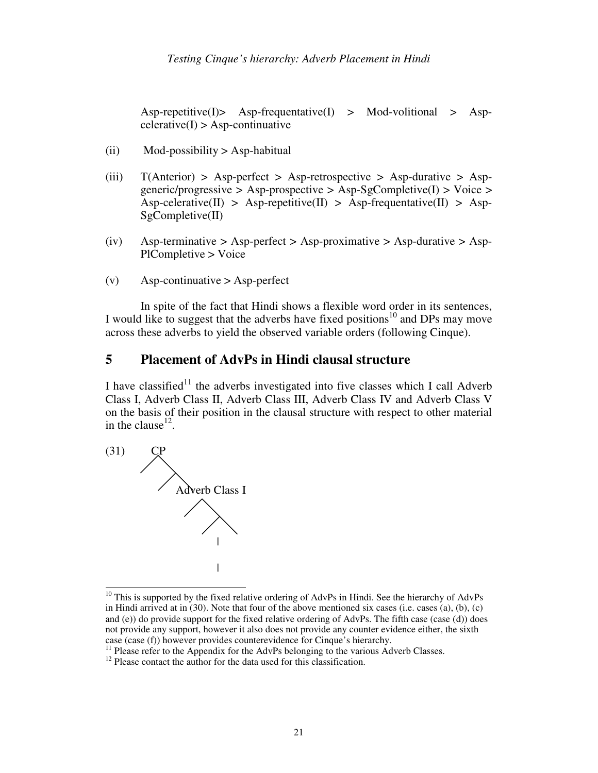$\text{Asp-repetitive(I)}$  Asp-frequentative(I) > Mod-volitional > Asp- $\text{celerative}(I) > \text{Asp-continuative}$ 

- $(iii)$  Mod-possibility > Asp-habitual
- (iii)  $T(Anterior) > Asp-perfect > Asp-retrospective > Asp-durative > Asp$ generic/progressive > Asp-prospective > Asp-SgCompletive(I) > Voice >  $\text{Asp-celerative(II)} > \text{Asp-repetitive(II)} > \text{Asp-requette(III)}$ SgCompletive(II)
- (iv) Asp-terminative > Asp-perfect > Asp-proximative > Asp-durative > Asp-PlCompletive > Voice
- $(v)$  Asp-continuative > Asp-perfect

In spite of the fact that Hindi shows a flexible word order in its sentences, I would like to suggest that the adverbs have fixed positions<sup>10</sup> and DPs may move across these adverbs to yield the observed variable orders (following Cinque).

# **5 Placement of AdvPs in Hindi clausal structure**

I have classified<sup>11</sup> the adverbs investigated into five classes which I call Adverb Class I, Adverb Class II, Adverb Class III, Adverb Class IV and Adverb Class V on the basis of their position in the clausal structure with respect to other material in the clause<sup>12</sup>.



 $\overline{a}$  $10$  This is supported by the fixed relative ordering of AdvPs in Hindi. See the hierarchy of AdvPs in Hindi arrived at in (30). Note that four of the above mentioned six cases (i.e. cases (a), (b), (c) and (e)) do provide support for the fixed relative ordering of AdvPs. The fifth case (case (d)) does not provide any support, however it also does not provide any counter evidence either, the sixth case (case (f)) however provides counterevidence for Cinque's hierarchy.

 $<sup>11</sup>$  Please refer to the Appendix for the AdvPs belonging to the various Adverb Classes.</sup>

 $12$  Please contact the author for the data used for this classification.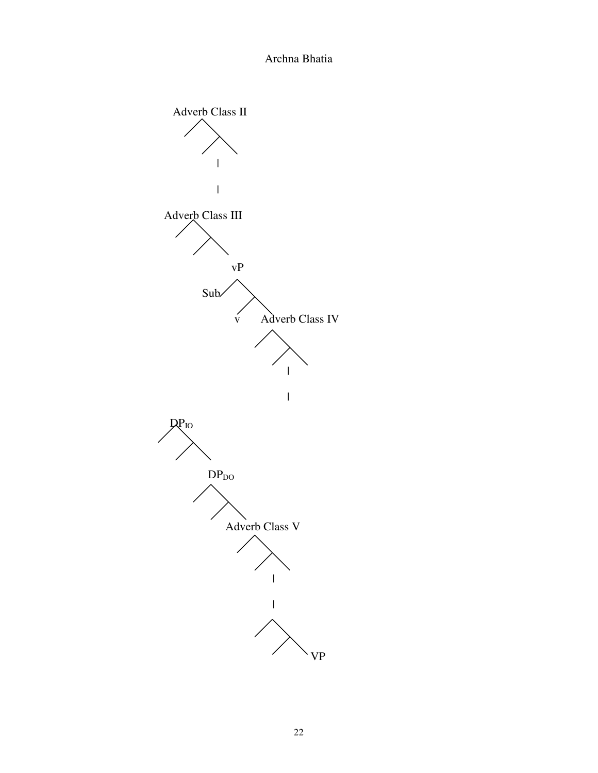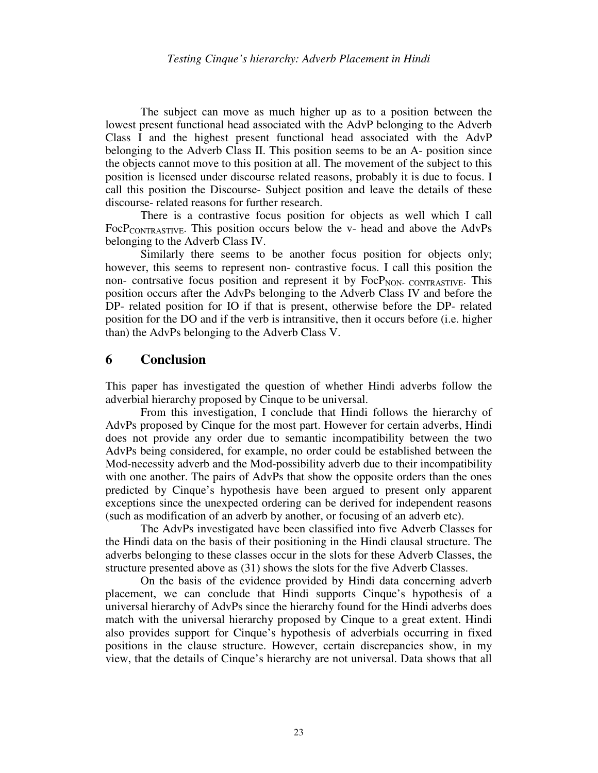The subject can move as much higher up as to a position between the lowest present functional head associated with the AdvP belonging to the Adverb Class I and the highest present functional head associated with the AdvP belonging to the Adverb Class II. This position seems to be an A- position since the objects cannot move to this position at all. The movement of the subject to this position is licensed under discourse related reasons, probably it is due to focus. I call this position the Discourse- Subject position and leave the details of these discourse- related reasons for further research.

 There is a contrastive focus position for objects as well which I call  $FocP_{CONTRASTIVE}$ . This position occurs below the v- head and above the AdvPs belonging to the Adverb Class IV.

 Similarly there seems to be another focus position for objects only; however, this seems to represent non- contrastive focus. I call this position the non- contrative focus position and represent it by FocP<sub>NON- CONTRASTIVE</sub>. This position occurs after the AdvPs belonging to the Adverb Class IV and before the DP- related position for IO if that is present, otherwise before the DP- related position for the DO and if the verb is intransitive, then it occurs before (i.e. higher than) the AdvPs belonging to the Adverb Class V.

### **6 Conclusion**

This paper has investigated the question of whether Hindi adverbs follow the adverbial hierarchy proposed by Cinque to be universal.

From this investigation, I conclude that Hindi follows the hierarchy of AdvPs proposed by Cinque for the most part. However for certain adverbs, Hindi does not provide any order due to semantic incompatibility between the two AdvPs being considered, for example, no order could be established between the Mod-necessity adverb and the Mod-possibility adverb due to their incompatibility with one another. The pairs of AdvPs that show the opposite orders than the ones predicted by Cinque's hypothesis have been argued to present only apparent exceptions since the unexpected ordering can be derived for independent reasons (such as modification of an adverb by another, or focusing of an adverb etc).

The AdvPs investigated have been classified into five Adverb Classes for the Hindi data on the basis of their positioning in the Hindi clausal structure. The adverbs belonging to these classes occur in the slots for these Adverb Classes, the structure presented above as (31) shows the slots for the five Adverb Classes.

On the basis of the evidence provided by Hindi data concerning adverb placement, we can conclude that Hindi supports Cinque's hypothesis of a universal hierarchy of AdvPs since the hierarchy found for the Hindi adverbs does match with the universal hierarchy proposed by Cinque to a great extent. Hindi also provides support for Cinque's hypothesis of adverbials occurring in fixed positions in the clause structure. However, certain discrepancies show, in my view, that the details of Cinque's hierarchy are not universal. Data shows that all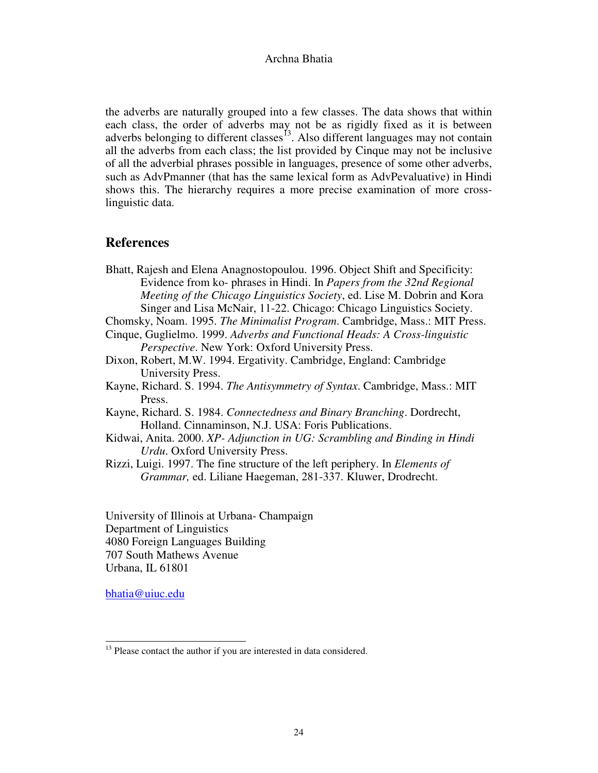the adverbs are naturally grouped into a few classes. The data shows that within each class, the order of adverbs may not be as rigidly fixed as it is between adverbs belonging to different classes<sup>13</sup>. Also different languages may not contain all the adverbs from each class; the list provided by Cinque may not be inclusive of all the adverbial phrases possible in languages, presence of some other adverbs, such as AdvPmanner (that has the same lexical form as AdvPevaluative) in Hindi shows this. The hierarchy requires a more precise examination of more crosslinguistic data.

# **References**

Bhatt, Rajesh and Elena Anagnostopoulou. 1996. Object Shift and Specificity: Evidence from ko- phrases in Hindi. In *Papers from the 32nd Regional Meeting of the Chicago Linguistics Society*, ed. Lise M. Dobrin and Kora Singer and Lisa McNair, 11-22. Chicago: Chicago Linguistics Society.

Chomsky, Noam. 1995. *The Minimalist Program*. Cambridge, Mass.: MIT Press.

Cinque, Guglielmo. 1999. *Adverbs and Functional Heads: A Cross-linguistic Perspective*. New York: Oxford University Press.

- Dixon, Robert, M.W. 1994. Ergativity. Cambridge, England: Cambridge University Press.
- Kayne, Richard. S. 1994. *The Antisymmetry of Syntax*. Cambridge, Mass.: MIT Press.
- Kayne, Richard. S. 1984. *Connectedness and Binary Branching*. Dordrecht, Holland. Cinnaminson, N.J. USA: Foris Publications.
- Kidwai, Anita. 2000. *XP- Adjunction in UG: Scrambling and Binding in Hindi Urdu*. Oxford University Press.
- Rizzi, Luigi. 1997. The fine structure of the left periphery. In *Elements of Grammar,* ed. Liliane Haegeman, 281-337. Kluwer, Drodrecht.

University of Illinois at Urbana- Champaign Department of Linguistics 4080 Foreign Languages Building 707 South Mathews Avenue Urbana, IL 61801

bhatia@uiuc.edu

j  $13$  Please contact the author if you are interested in data considered.